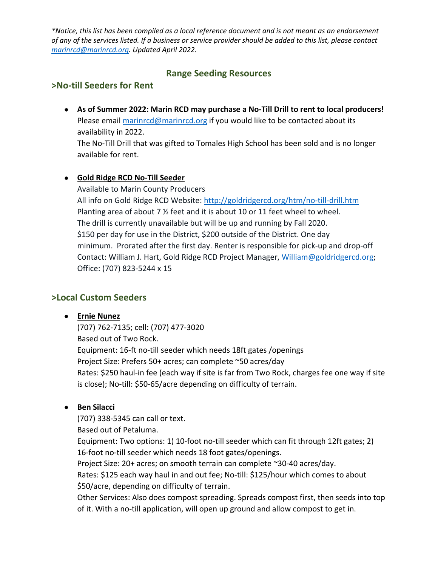*\*Notice, this list has been compiled as a local reference document and is not meant as an endorsement of any of the services listed. If a business or service provider should be added to this list, please contact [marinrcd@marinrcd.org.](mailto:marinrcd@marinrcd.org) Updated April 2022.*

# **Range Seeding Resources**

## **>No-till Seeders for Rent**

• **As of Summer 2022: Marin RCD may purchase a No-Till Drill to rent to local producers!** Please email [marinrcd@marinrcd.org](mailto:marinrcd@marinrcd.org) if you would like to be contacted about its availability in 2022.

The No-Till Drill that was gifted to Tomales High School has been sold and is no longer available for rent.

### • **[Gold](http://www.coldcreekcompost.com/products/) Ridge RCD No-Till Seeder**

Available to Marin County Producers All info on Gold Ridge RCD Website: <http://goldridgercd.org/htm/no-till-drill.htm> Planting area of about 7 % feet and it is about 10 or 11 feet wheel to wheel. The drill is currently unavailable but will be up and running by Fall 2020. \$150 per day for use in the District, \$200 outside of the District. One day minimum. Prorated after the first day. Renter is responsible for pick-up and drop-off Contact: William J. Hart, Gold Ridge RCD Project Manager, [William@goldridgercd.org;](mailto:William@goldridgercd.org) Office: (707) 823-5244 x 15

### **>Local Custom Seeders**

#### • **Ernie Nunez**

(707) 762-7135; cell: (707) 477-3020 Based out of Two Rock. Equipment: 16-ft no-till seeder which needs 18ft gates /openings Project Size: Prefers 50+ acres; can complete ~50 acres/day Rates: \$250 haul-in fee (each way if site is far from Two Rock, charges fee one way if site is close); No-till: \$50-65/acre depending on difficulty of terrain.

### • **Ben Silacci**

(707) 338-5345 can call or text.

Based out of Petaluma.

Equipment: Two options: 1) 10-foot no-till seeder which can fit through 12ft gates; 2) 16-foot no-till seeder which needs 18 foot gates/openings.

Project Size: 20+ acres; on smooth terrain can complete ~30-40 acres/day.

Rates: \$125 each way haul in and out fee; No-till: \$125/hour which comes to about \$50/acre, depending on difficulty of terrain.

Other Services: Also does compost spreading. Spreads compost first, then seeds into top of it. With a no-till application, will open up ground and allow compost to get in.